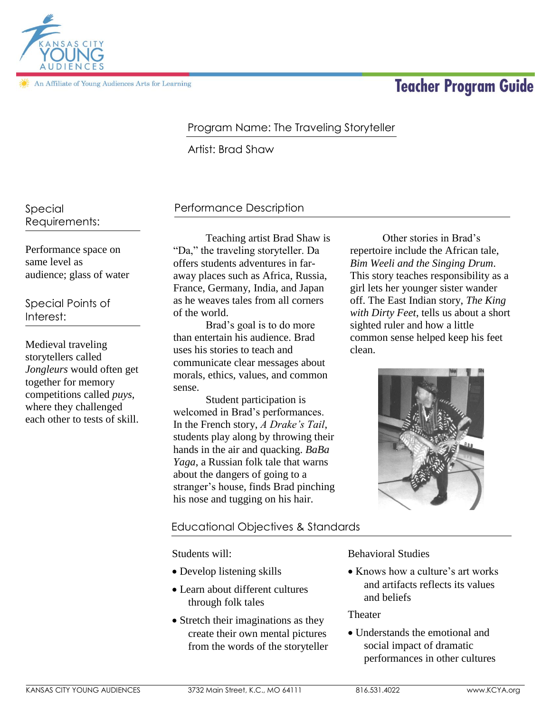

In Affiliate of Young Audiences Arts for Learning

# **Teacher Program Guide**

# Program Name: The Traveling Storyteller

Artist: Brad Shaw

Special Requirements:

Performance space on same level as audience; glass of water

Special Points of Interest:

Medieval traveling storytellers called *Jongleurs* would often get together for memory competitions called *puys*, where they challenged each other to tests of skill.

## Performance Description

Teaching artist Brad Shaw is "Da," the traveling storyteller. Da offers students adventures in faraway places such as Africa, Russia, France, Germany, India, and Japan as he weaves tales from all corners of the world.

Brad's goal is to do more than entertain his audience. Brad uses his stories to teach and communicate clear messages about morals, ethics, values, and common sense.

Student participation is welcomed in Brad's performances. In the French story, *A Drake's Tail*, students play along by throwing their hands in the air and quacking. *BaBa Yaga*, a Russian folk tale that warns about the dangers of going to a stranger's house, finds Brad pinching his nose and tugging on his hair.

Other stories in Brad's repertoire include the African tale, *Bim Weeli and the Singing Drum*. This story teaches responsibility as a girl lets her younger sister wander off. The East Indian story, *The King with Dirty Feet*, tells us about a short sighted ruler and how a little common sense helped keep his feet clean.



### Educational Objectives & Standards

Students will:

- Develop listening skills
- Learn about different cultures through folk tales
- Stretch their imaginations as they create their own mental pictures from the words of the storyteller

Behavioral Studies

• Knows how a culture's art works and artifacts reflects its values and beliefs

**Theater** 

 Understands the emotional and social impact of dramatic performances in other cultures